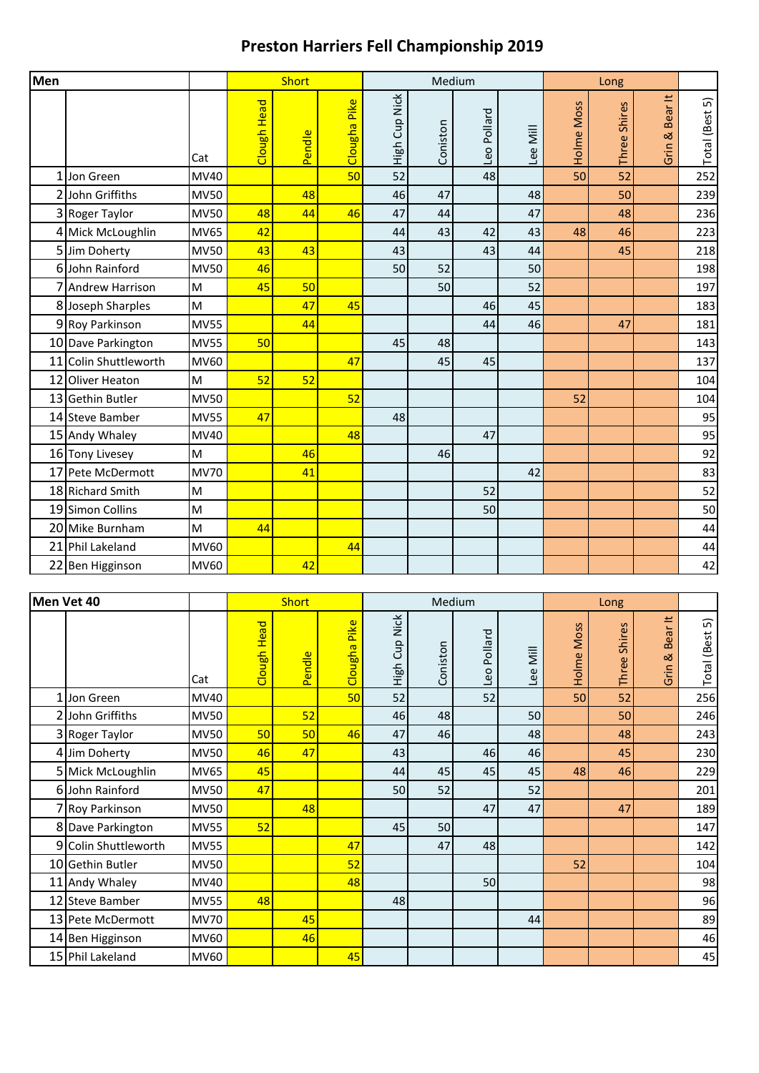## **Preston Harriers Fell Championship 2019**

| Men |                       |             |             | <b>Short</b> |                 |               |          | Medium      |          |            |              |                      |                |
|-----|-----------------------|-------------|-------------|--------------|-----------------|---------------|----------|-------------|----------|------------|--------------|----------------------|----------------|
|     |                       | Cat         | Clough Head | Pendle       | Pike<br>Clougha | High Cup Nick | Coniston | Leo Pollard | Lee Mill | Holme Moss | Three Shires | Bear It<br>ಡ<br>Grin | Total (Best 5) |
|     | 1 Jon Green           | <b>MV40</b> |             |              | 50              | 52            |          | 48          |          | 50         | 52           |                      | 252            |
|     | 2 John Griffiths      | <b>MV50</b> |             | 48           |                 | 46            | 47       |             | 48       |            | 50           |                      | 239            |
|     | 3 Roger Taylor        | <b>MV50</b> | 48          | 44           | 46              | 47            | 44       |             | 47       |            | 48           |                      | 236            |
|     | 4 Mick McLoughlin     | <b>MV65</b> | 42          |              |                 | 44            | 43       | 42          | 43       | 48         | 46           |                      | 223            |
|     | 5 Jim Doherty         | <b>MV50</b> | 43          | 43           |                 | 43            |          | 43          | 44       |            | 45           |                      | 218            |
|     | 6 John Rainford       | <b>MV50</b> | 46          |              |                 | 50            | 52       |             | 50       |            |              |                      | 198            |
|     | 7 Andrew Harrison     | M           | 45          | 50           |                 |               | 50       |             | 52       |            |              |                      | 197            |
|     | 8 Joseph Sharples     | M           |             | 47           | 45              |               |          | 46          | 45       |            |              |                      | 183            |
|     | 9 Roy Parkinson       | <b>MV55</b> |             | 44           |                 |               |          | 44          | 46       |            | 47           |                      | 181            |
|     | 10 Dave Parkington    | <b>MV55</b> | 50          |              |                 | 45            | 48       |             |          |            |              |                      | 143            |
|     | 11 Colin Shuttleworth | <b>MV60</b> |             |              | 47              |               | 45       | 45          |          |            |              |                      | 137            |
|     | 12 Oliver Heaton      | м           | 52          | 52           |                 |               |          |             |          |            |              |                      | 104            |
|     | 13 Gethin Butler      | <b>MV50</b> |             |              | 52              |               |          |             |          | 52         |              |                      | 104            |
|     | 14 Steve Bamber       | <b>MV55</b> | 47          |              |                 | 48            |          |             |          |            |              |                      | 95             |
|     | 15 Andy Whaley        | MV40        |             |              | 48              |               |          | 47          |          |            |              |                      | 95             |
|     | 16 Tony Livesey       | M           |             | 46           |                 |               | 46       |             |          |            |              |                      | 92             |
|     | 17 Pete McDermott     | <b>MV70</b> |             | 41           |                 |               |          |             | 42       |            |              |                      | 83             |
|     | 18 Richard Smith      | M           |             |              |                 |               |          | 52          |          |            |              |                      | 52             |
|     | 19 Simon Collins      | M           |             |              |                 |               |          | 50          |          |            |              |                      | 50             |
|     | 20 Mike Burnham       | M           | 44          |              |                 |               |          |             |          |            |              |                      | 44             |
|     | 21 Phil Lakeland      | MV60        |             |              | 44              |               |          |             |          |            |              |                      | 44             |
|     | 22 Ben Higginson      | MV60        |             | 42           |                 |               |          |             |          |            |              |                      | 42             |

| Men Vet 40 |                      |             |             | <b>Short</b> |                              |                  |          | Medium         |                                  |            |                  |                      |                         |
|------------|----------------------|-------------|-------------|--------------|------------------------------|------------------|----------|----------------|----------------------------------|------------|------------------|----------------------|-------------------------|
|            |                      | Cat         | Clough Head | Pendle       | <mark>Pike</mark><br>Clougha | Cup Nick<br>High | Coniston | Pollard<br>Leo | $\overline{\overline{M}}$<br>Lee | Holme Moss | Shires<br>Three: | Bear It<br>œ<br>Grin | 5<br><b>Total</b> (Best |
|            | 1 Jon Green          | MV40        |             |              | 50                           | 52               |          | 52             |                                  | 50         | 52               |                      | 256                     |
|            | 2 John Griffiths     | <b>MV50</b> |             | 52           |                              | 46               | 48       |                | 50                               |            | 50               |                      | 246                     |
|            | 3 Roger Taylor       | <b>MV50</b> | 50          | 50           | 46                           | 47               | 46       |                | 48                               |            | 48               |                      | 243                     |
|            | 4 Jim Doherty        | <b>MV50</b> | 46          | 47           |                              | 43               |          | 46             | 46                               |            | 45               |                      | 230                     |
|            | 5 Mick McLoughlin    | <b>MV65</b> | 45          |              |                              | 44               | 45       | 45             | 45                               | 48         | 46               |                      | 229                     |
|            | 6 John Rainford      | <b>MV50</b> | 47          |              |                              | 50               | 52       |                | 52                               |            |                  |                      | 201                     |
|            | 7 Roy Parkinson      | <b>MV50</b> |             | 48           |                              |                  |          | 47             | 47                               |            | 47               |                      | 189                     |
|            | 8 Dave Parkington    | <b>MV55</b> | 52          |              |                              | 45               | 50       |                |                                  |            |                  |                      | 147                     |
|            | 9 Colin Shuttleworth | <b>MV55</b> |             |              | 47                           |                  | 47       | 48             |                                  |            |                  |                      | 142                     |
|            | 10 Gethin Butler     | <b>MV50</b> |             |              | 52                           |                  |          |                |                                  | 52         |                  |                      | 104                     |
|            | 11 Andy Whaley       | <b>MV40</b> |             |              | 48                           |                  |          | 50             |                                  |            |                  |                      | 98                      |
|            | 12 Steve Bamber      | <b>MV55</b> | 48          |              |                              | 48               |          |                |                                  |            |                  |                      | 96                      |
|            | 13 Pete McDermott    | <b>MV70</b> |             | 45           |                              |                  |          |                | 44                               |            |                  |                      | 89                      |
|            | 14 Ben Higginson     | <b>MV60</b> |             | 46           |                              |                  |          |                |                                  |            |                  |                      | 46                      |
|            | 15 Phil Lakeland     | MV60        |             |              | 45                           |                  |          |                |                                  |            |                  |                      | 45                      |